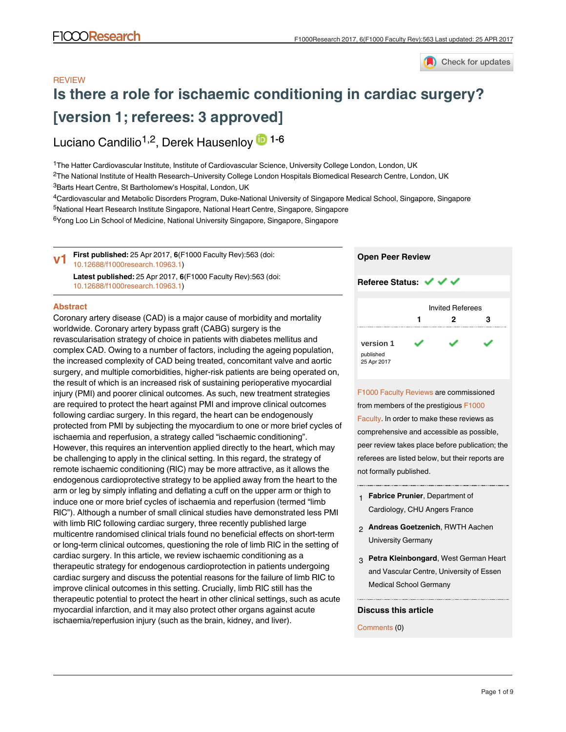

## **REVIEW**

# **[Is there a role for ischaemic conditioning in cardiac surgery?](https://f1000research.com/articles/6-563/v1) [version 1; referees: 3 approved]**

# Luciano Candilio<sup>1,2</sup>, Derek Hausenloy <sup>(D1-6</sup>

<sup>1</sup>The Hatter Cardiovascular Institute, Institute of Cardiovascular Science, University College London, London, UK

 $^2$ The National Institute of Health Research–University College London Hospitals Biomedical Research Centre, London, UK

<sup>3</sup>Barts Heart Centre, St Bartholomew's Hospital, London, UK

 $^4$ Cardiovascular and Metabolic Disorders Program, Duke-National University of Singapore Medical School, Singapore, Singapore

<sup>5</sup>National Heart Research Institute Singapore, National Heart Centre, Singapore, Singapore

<sup>6</sup>Yong Loo Lin School of Medicine, National University Singapore, Singapore, Singapore

**First published:** 25 Apr 2017, **6**(F1000 Faculty Rev):563 (doi: [10.12688/f1000research.10963.1\)](http://dx.doi.org/10.12688/f1000research.10963.1) **v1**

**Latest published:** 25 Apr 2017, **6**(F1000 Faculty Rev):563 (doi: [10.12688/f1000research.10963.1\)](http://dx.doi.org/10.12688/f1000research.10963.1)

# **Abstract**

Coronary artery disease (CAD) is a major cause of morbidity and mortality worldwide. Coronary artery bypass graft (CABG) surgery is the revascularisation strategy of choice in patients with diabetes mellitus and complex CAD. Owing to a number of factors, including the ageing population, the increased complexity of CAD being treated, concomitant valve and aortic surgery, and multiple comorbidities, higher-risk patients are being operated on, the result of which is an increased risk of sustaining perioperative myocardial injury (PMI) and poorer clinical outcomes. As such, new treatment strategies are required to protect the heart against PMI and improve clinical outcomes following cardiac surgery. In this regard, the heart can be endogenously protected from PMI by subjecting the myocardium to one or more brief cycles of ischaemia and reperfusion, a strategy called "ischaemic conditioning". However, this requires an intervention applied directly to the heart, which may be challenging to apply in the clinical setting. In this regard, the strategy of remote ischaemic conditioning (RIC) may be more attractive, as it allows the endogenous cardioprotective strategy to be applied away from the heart to the arm or leg by simply inflating and deflating a cuff on the upper arm or thigh to induce one or more brief cycles of ischaemia and reperfusion (termed "limb RIC"). Although a number of small clinical studies have demonstrated less PMI with limb RIC following cardiac surgery, three recently published large multicentre randomised clinical trials found no beneficial effects on short-term or long-term clinical outcomes, questioning the role of limb RIC in the setting of cardiac surgery. In this article, we review ischaemic conditioning as a therapeutic strategy for endogenous cardioprotection in patients undergoing cardiac surgery and discuss the potential reasons for the failure of limb RIC to improve clinical outcomes in this setting. Crucially, limb RIC still has the therapeutic potential to protect the heart in other clinical settings, such as acute myocardial infarction, and it may also protect other organs against acute ischaemia/reperfusion injury (such as the brain, kidney, and liver).

# **Open Peer Review**



[F1000 Faculty Reviews](http://f1000research.com/channels/f1000-faculty-reviews/about-this-channel) are commissioned from members of the prestigious [F1000](http://f1000.com/prime/thefaculty) [Faculty](http://f1000.com/prime/thefaculty). In order to make these reviews as comprehensive and accessible as possible, peer review takes place before publication; the referees are listed below, but their reports are not formally published.

- **Fabrice Prunier**, Department of 1 Cardiology, CHU Angers France
- **Andreas Goetzenich**, RWTH Aachen 2 University Germany
- **Petra Kleinbongard**, West German Heart 3 and Vascular Centre, University of Essen Medical School Germany

**Discuss this article**

Comments (0)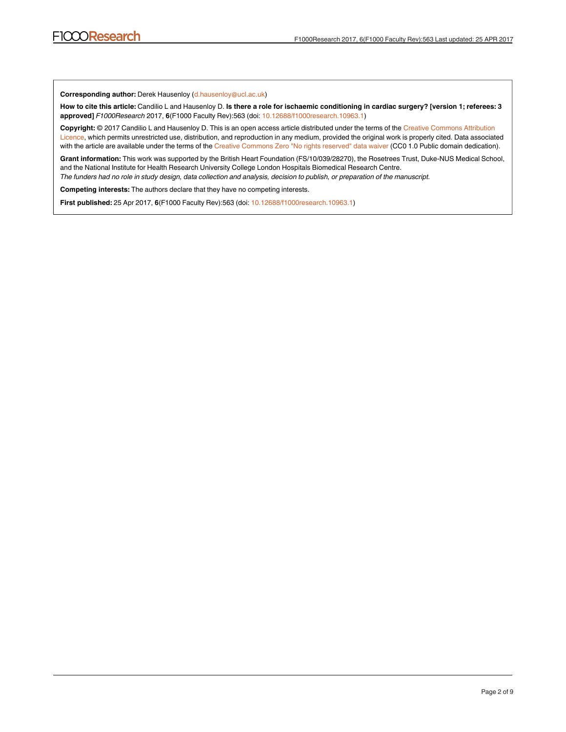**Corresponding author:** Derek Hausenloy (d.hausenloy@ucl.ac.uk)

**How to cite this article:** Candilio L and Hausenloy D. **Is there a role for ischaemic conditioning in cardiac surgery? [version 1; referees: 3 approved]** *F1000Research* 2017, **6**(F1000 Faculty Rev):563 (doi: [10.12688/f1000research.10963.1\)](http://dx.doi.org/10.12688/f1000research.10963.1)

**Copyright:** © 2017 Candilio L and Hausenloy D. This is an open access article distributed under the terms of the [Creative Commons Attribution](http://creativecommons.org/licenses/by/4.0/) [Licence](http://creativecommons.org/licenses/by/4.0/), which permits unrestricted use, distribution, and reproduction in any medium, provided the original work is properly cited. Data associated with the article are available under the terms of the [Creative Commons Zero "No rights reserved" data waiver](http://creativecommons.org/publicdomain/zero/1.0/) (CC0 1.0 Public domain dedication).

**Grant information:** This work was supported by the British Heart Foundation (FS/10/039/28270), the Rosetrees Trust, Duke-NUS Medical School, and the National Institute for Health Research University College London Hospitals Biomedical Research Centre.

*The funders had no role in study design, data collection and analysis, decision to publish, or preparation of the manuscript.*

**Competing interests:** The authors declare that they have no competing interests.

**First published:** 25 Apr 2017, **6**(F1000 Faculty Rev):563 (doi: [10.12688/f1000research.10963.1](http://dx.doi.org/10.12688/f1000research.10963.1))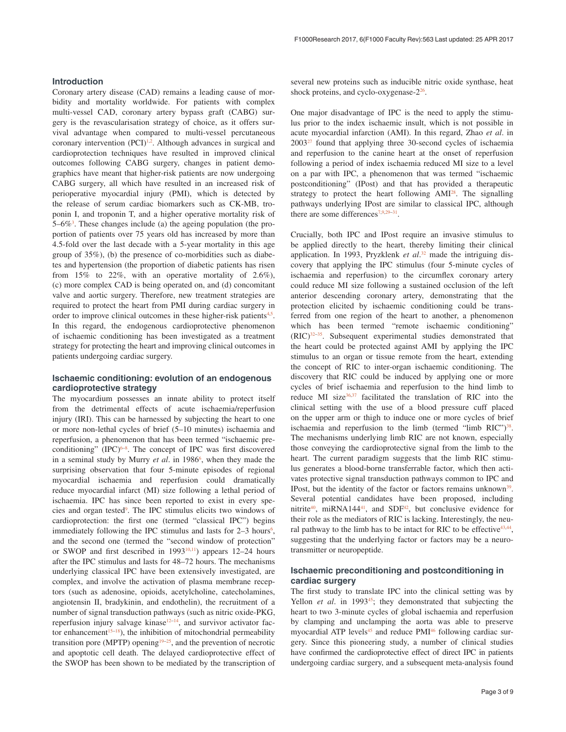## **Introduction**

Coronary artery disease (CAD) remains a leading cause of morbidity and mortality worldwide. For patients with complex multi-vessel CAD, coronary artery bypass graft (CABG) surgery is the revascularisation strategy of choice, as it offers survival advantage when compared to multi-vessel percutaneous coronary intervention  $(PCI)^{1,2}$ . Although advances in surgical and cardioprotection techniques have resulted in improved clinical outcomes following CABG surgery, changes in patient demographics have meant that higher-risk patients are now undergoing CABG surgery, all which have resulted in an increased risk of perioperative myocardial injury (PMI), which is detected by the release of serum cardiac biomarkers such as CK-MB, troponin I, and troponin T, and a higher operative mortality risk of  $5-6\%$ <sup>[3](#page-5-0)</sup>. These changes include (a) the ageing population (the proportion of patients over 75 years old has increased by more than 4.5-fold over the last decade with a 5-year mortality in this age group of 35%), (b) the presence of co-morbidities such as diabetes and hypertension (the proportion of diabetic patients has risen from 15% to 22%, with an operative mortality of 2.6%), (c) more complex CAD is being operated on, and (d) concomitant valve and aortic surgery. Therefore, new treatment strategies are required to protect the heart from PMI during cardiac surgery in order to improve clinical outcomes in these higher-risk patients<sup>[4,5](#page-5-0)</sup>. In this regard, the endogenous cardioprotective phenomenon of ischaemic conditioning has been investigated as a treatment strategy for protecting the heart and improving clinical outcomes in patients undergoing cardiac surgery.

### **Ischaemic conditioning: evolution of an endogenous cardioprotective strategy**

The myocardium possesses an innate ability to protect itself from the detrimental effects of acute ischaemia/reperfusion injury (IRI). This can be harnessed by subjecting the heart to one or more non-lethal cycles of brief (5–10 minutes) ischaemia and reperfusion, a phenomenon that has been termed "ischaemic preconditioning" (IPC) $6-8$ . The concept of IPC was first discovered in a seminal study by Murry *et al.* in 1986<sup>6</sup>, when they made the surprising observation that four 5-minute episodes of regional myocardial ischaemia and reperfusion could dramatically reduce myocardial infarct (MI) size following a lethal period of ischaemia. IPC has since been reported to exist in every species and organ tested<sup>9</sup>. The IPC stimulus elicits two windows of cardioprotection: the first one (termed "classical IPC") begins immediately following the IPC stimulus and lasts for  $2-3$  hours<sup>[6](#page-5-0)</sup>, and the second one (termed the "second window of protection" or SWOP and first described in  $1993^{10,11}$  appears 12–24 hours after the IPC stimulus and lasts for 48–72 hours. The mechanisms underlying classical IPC have been extensively investigated, are complex, and involve the activation of plasma membrane receptors (such as adenosine, opioids, acetylcholine, catecholamines, angiotensin II, bradykinin, and endothelin), the recruitment of a number of signal transduction pathways (such as nitric oxide-PKG, reperfusion injury salvage kinase $12-14$ , and survivor activator factor enhancement<sup>15–18</sup>), the inhibition of mitochondrial permeability transition pore (MPTP) opening<sup>19–[25](#page-5-0)</sup>, and the prevention of necrotic and apoptotic cell death. The delayed cardioprotective effect of the SWOP has been shown to be mediated by the transcription of

several new proteins such as inducible nitric oxide synthase, heat shock proteins, and cyclo-oxygenase- $2^{26}$ .

One major disadvantage of IPC is the need to apply the stimulus prior to the index ischaemic insult, which is not possible in acute myocardial infarction (AMI). In this regard, Zhao *et al*. in 2003[27](#page-5-0) found that applying three 30-second cycles of ischaemia and reperfusion to the canine heart at the onset of reperfusion following a period of index ischaemia reduced MI size to a level on a par with IPC, a phenomenon that was termed "ischaemic postconditioning" (IPost) and that has provided a therapeutic strategy to protect the heart following AMI<sup>28</sup>. The signalling pathways underlying IPost are similar to classical IPC, although there are some differences<sup> $7,9,29-31$ </sup>.

Crucially, both IPC and IPost require an invasive stimulus to be applied directly to the heart, thereby limiting their clinical application. In 1993, Pryzklenk *et al*. [32](#page-5-0) made the intriguing discovery that applying the IPC stimulus (four 5-minute cycles of ischaemia and reperfusion) to the circumflex coronary artery could reduce MI size following a sustained occlusion of the left anterior descending coronary artery, demonstrating that the protection elicited by ischaemic conditioning could be transferred from one region of the heart to another, a phenomenon which has been termed "remote ischaemic conditioning"  $(RIC)^{32-35}$ . Subsequent experimental studies demonstrated that the heart could be protected against AMI by applying the IPC stimulus to an organ or tissue remote from the heart, extending the concept of RIC to inter-organ ischaemic conditioning. The discovery that RIC could be induced by applying one or more cycles of brief ischaemia and reperfusion to the hind limb to reduce MI size<sup>36,37</sup> facilitated the translation of RIC into the clinical setting with the use of a blood pressure cuff placed on the upper arm or thigh to induce one or more cycles of brief ischaemia and reperfusion to the limb (termed "limb RIC")<sup>38</sup>. The mechanisms underlying limb RIC are not known, especially those conveying the cardioprotective signal from the limb to the heart. The current paradigm suggests that the limb RIC stimulus generates a blood-borne transferrable factor, which then activates protective signal transduction pathways common to IPC and IPost, but the identity of the factor or factors remains unknown<sup>39</sup>. Several potential candidates have been proposed, including nitrite<sup>40</sup>, miRNA144<sup>41</sup>, and SDF<sup>[42](#page-6-0)</sup>, but conclusive evidence for their role as the mediators of RIC is lacking. Interestingly, the neural pathway to the limb has to be intact for RIC to be effective $43,44$ , suggesting that the underlying factor or factors may be a neurotransmitter or neuropeptide.

## **Ischaemic preconditioning and postconditioning in cardiac surgery**

The first study to translate IPC into the clinical setting was by Yellon *et al.* in 1993<sup>45</sup>; they demonstrated that subjecting the heart to two 3-minute cycles of global ischaemia and reperfusion by clamping and unclamping the aorta was able to preserve myocardial ATP levels<sup>[45](#page-6-0)</sup> and reduce PMI<sup>[46](#page-6-0)</sup> following cardiac surgery. Since this pioneering study, a number of clinical studies have confirmed the cardioprotective effect of direct IPC in patients undergoing cardiac surgery, and a subsequent meta-analysis found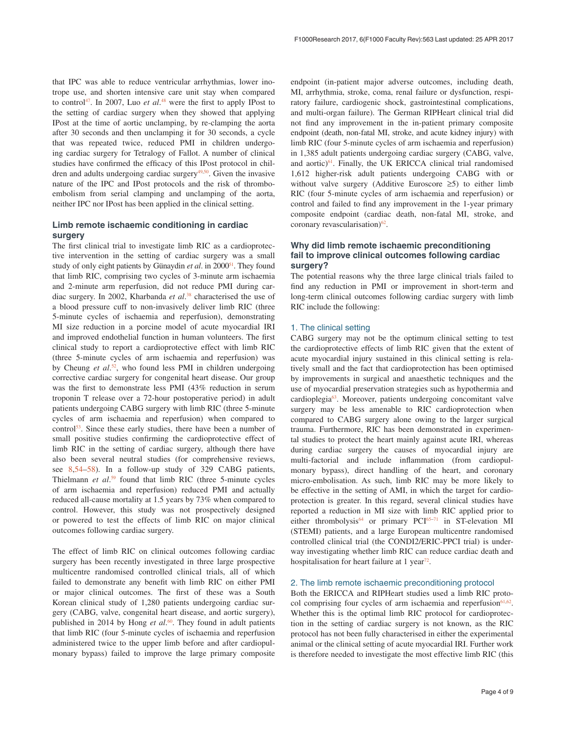that IPC was able to reduce ventricular arrhythmias, lower inotrope use, and shorten intensive care unit stay when compared to contro[l47.](#page-6-0) In 2007, Luo *et al*. [48](#page-6-0) were the first to apply IPost to the setting of cardiac surgery when they showed that applying IPost at the time of aortic unclamping, by re-clamping the aorta after 30 seconds and then unclamping it for 30 seconds, a cycle that was repeated twice, reduced PMI in children undergoing cardiac surgery for Tetralogy of Fallot. A number of clinical studies have confirmed the efficacy of this IPost protocol in children and adults undergoing cardiac surgery $49,50$ . Given the invasive nature of the IPC and IPost protocols and the risk of thromboembolism from serial clamping and unclamping of the aorta, neither IPC nor IPost has been applied in the clinical setting.

### **Limb remote ischaemic conditioning in cardiac surgery**

The first clinical trial to investigate limb RIC as a cardioprotective intervention in the setting of cardiac surgery was a small study of only eight patients by Günaydin *et al.* in 2000<sup>51</sup>. They found that limb RIC, comprising two cycles of 3-minute arm ischaemia and 2-minute arm reperfusion, did not reduce PMI during cardiac surgery. In 2002, Kharbanda *et al*. [38](#page-5-0) characterised the use of a blood pressure cuff to non-invasively deliver limb RIC (three 5-minute cycles of ischaemia and reperfusion), demonstrating MI size reduction in a porcine model of acute myocardial IRI and improved endothelial function in human volunteers. The first clinical study to report a cardioprotective effect with limb RIC (three 5-minute cycles of arm ischaemia and reperfusion) was by Cheung *et al.*<sup>52</sup>, who found less PMI in children undergoing corrective cardiac surgery for congenital heart disease. Our group was the first to demonstrate less PMI (43% reduction in serum troponin T release over a 72-hour postoperative period) in adult patients undergoing CABG surgery with limb RIC (three 5-minute cycles of arm ischaemia and reperfusion) when compared to control<sup>53</sup>. Since these early studies, there have been a number of small positive studies confirming the cardioprotective effect of limb RIC in the setting of cardiac surgery, although there have also been several neutral studies (for comprehensive reviews, see [8,](#page-5-0)[54–58](#page-6-0)). In a follow-up study of 329 CABG patients, Thielmann *et al*. [59](#page-6-0) found that limb RIC (three 5-minute cycles of arm ischaemia and reperfusion) reduced PMI and actually reduced all-cause mortality at 1.5 years by 73% when compared to control. However, this study was not prospectively designed or powered to test the effects of limb RIC on major clinical outcomes following cardiac surgery.

The effect of limb RIC on clinical outcomes following cardiac surgery has been recently investigated in three large prospective multicentre randomised controlled clinical trials, all of which failed to demonstrate any benefit with limb RIC on either PMI or major clinical outcomes. The first of these was a South Korean clinical study of 1,280 patients undergoing cardiac surgery (CABG, valve, congenital heart disease, and aortic surgery), published in 2014 by Hong *et al*. [60.](#page-6-0) They found in adult patients that limb RIC (four 5-minute cycles of ischaemia and reperfusion administered twice to the upper limb before and after cardiopulmonary bypass) failed to improve the large primary composite

endpoint (in-patient major adverse outcomes, including death, MI, arrhythmia, stroke, coma, renal failure or dysfunction, respiratory failure, cardiogenic shock, gastrointestinal complications, and multi-organ failure). The German RIPHeart clinical trial did not find any improvement in the in-patient primary composite endpoint (death, non-fatal MI, stroke, and acute kidney injury) with limb RIC (four 5-minute cycles of arm ischaemia and reperfusion) in 1,385 adult patients undergoing cardiac surgery (CABG, valve, and aortic)<sup>[61](#page-6-0)</sup>. Finally, the UK ERICCA clinical trial randomised 1,612 higher-risk adult patients undergoing CABG with or without valve surgery (Additive Euroscore ≥5) to either limb RIC (four 5-minute cycles of arm ischaemia and reperfusion) or control and failed to find any improvement in the 1-year primary composite endpoint (cardiac death, non-fatal MI, stroke, and coronary revascularisation)<sup>62</sup>.

## **Why did limb remote ischaemic preconditioning fail to improve clinical outcomes following cardiac surgery?**

The potential reasons why the three large clinical trials failed to find any reduction in PMI or improvement in short-term and long-term clinical outcomes following cardiac surgery with limb RIC include the following:

#### 1. The clinical setting

CABG surgery may not be the optimum clinical setting to test the cardioprotective effects of limb RIC given that the extent of acute myocardial injury sustained in this clinical setting is relatively small and the fact that cardioprotection has been optimised by improvements in surgical and anaesthetic techniques and the use of myocardial preservation strategies such as hypothermia and cardioplegia<sup>[63](#page-6-0)</sup>. Moreover, patients undergoing concomitant valve surgery may be less amenable to RIC cardioprotection when compared to CABG surgery alone owing to the larger surgical trauma. Furthermore, RIC has been demonstrated in experimental studies to protect the heart mainly against acute IRI, whereas during cardiac surgery the causes of myocardial injury are multi-factorial and include inflammation (from cardiopulmonary bypass), direct handling of the heart, and coronary micro-embolisation. As such, limb RIC may be more likely to be effective in the setting of AMI, in which the target for cardioprotection is greater. In this regard, several clinical studies have reported a reduction in MI size with limb RIC applied prior to either thrombolysis<sup>64</sup> or primary PCI<sup>65-71</sup> in ST-elevation MI (STEMI) patients, and a large European multicentre randomised controlled clinical trial (the CONDI2/ERIC-PPCI trial) is underway investigating whether limb RIC can reduce cardiac death and hospitalisation for heart failure at 1 year<sup>72</sup>.

#### 2. The limb remote ischaemic preconditioning protocol

Both the ERICCA and RIPHeart studies used a limb RIC protocol comprising four cycles of arm ischaemia and reperfusion $61,62$ . Whether this is the optimal limb RIC protocol for cardioprotection in the setting of cardiac surgery is not known, as the RIC protocol has not been fully characterised in either the experimental animal or the clinical setting of acute myocardial IRI. Further work is therefore needed to investigate the most effective limb RIC (this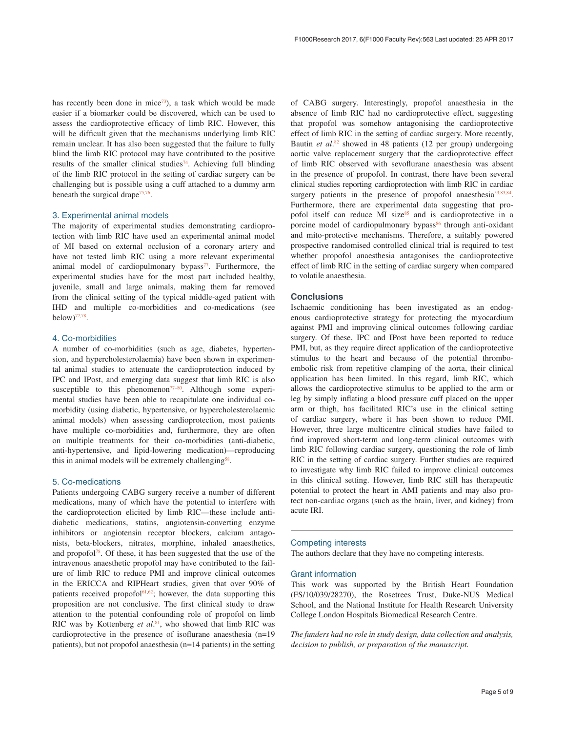has recently been done in mice<sup>73</sup>), a task which would be made easier if a biomarker could be discovered, which can be used to assess the cardioprotective efficacy of limb RIC. However, this will be difficult given that the mechanisms underlying limb RIC remain unclear. It has also been suggested that the failure to fully blind the limb RIC protocol may have contributed to the positive results of the smaller clinical studies<sup>74</sup>. Achieving full blinding of the limb RIC protocol in the setting of cardiac surgery can be challenging but is possible using a cuff attached to a dummy arm beneath the surgical drape $75,76$ .

#### 3. Experimental animal models

The majority of experimental studies demonstrating cardioprotection with limb RIC have used an experimental animal model of MI based on external occlusion of a coronary artery and have not tested limb RIC using a more relevant experimental animal model of cardiopulmonary bypass $77$ . Furthermore, the experimental studies have for the most part included healthy, juvenile, small and large animals, making them far removed from the clinical setting of the typical middle-aged patient with IHD and multiple co-morbidities and co-medications (see below $)^{77,78}$ .

#### 4. Co-morbidities

A number of co-morbidities (such as age, diabetes, hypertension, and hypercholesterolaemia) have been shown in experimental animal studies to attenuate the cardioprotection induced by IPC and IPost, and emerging data suggest that limb RIC is also susceptible to this phenomenon<sup>77-80</sup>. Although some experimental studies have been able to recapitulate one individual comorbidity (using diabetic, hypertensive, or hypercholesterolaemic animal models) when assessing cardioprotection, most patients have multiple co-morbidities and, furthermore, they are often on multiple treatments for their co-morbidities (anti-diabetic, anti-hypertensive, and lipid-lowering medication)—reproducing this in animal models will be extremely challenging<sup>58</sup>.

#### 5. Co-medications

Patients undergoing CABG surgery receive a number of different medications, many of which have the potential to interfere with the cardioprotection elicited by limb RIC—these include antidiabetic medications, statins, angiotensin-converting enzyme inhibitors or angiotensin receptor blockers, calcium antagonists, beta-blockers, nitrates, morphine, inhaled anaesthetics, and propofol<sup>78</sup>. Of these, it has been suggested that the use of the intravenous anaesthetic propofol may have contributed to the failure of limb RIC to reduce PMI and improve clinical outcomes in the ERICCA and RIPHeart studies, given that over 90% of patients received propofol<sup>61,62</sup>; however, the data supporting this proposition are not conclusive. The first clinical study to draw attention to the potential confounding role of propofol on limb RIC was by Kottenberg et al.<sup>81</sup>, who showed that limb RIC was cardioprotective in the presence of isoflurane anaesthesia (n=19 patients), but not propofol anaesthesia (n=14 patients) in the setting of CABG surgery. Interestingly, propofol anaesthesia in the absence of limb RIC had no cardioprotective effect, suggesting that propofol was somehow antagonising the cardioprotective effect of limb RIC in the setting of cardiac surgery. More recently, Bautin *et al.*<sup>82</sup> showed in 48 patients (12 per group) undergoing aortic valve replacement surgery that the cardioprotective effect of limb RIC observed with sevoflurane anaesthesia was absent in the presence of propofol. In contrast, there have been several clinical studies reporting cardioprotection with limb RIC in cardiac surgery patients in the presence of propofol anaesthesia<sup>[53](#page-6-0),[83,84](#page-7-0)</sup>. Furthermore, there are experimental data suggesting that propofol itself can reduce MI size $85$  and is cardioprotective in a porcine model of cardiopulmonary bypass<sup>[86](#page-7-0)</sup> through anti-oxidant and mito-protective mechanisms. Therefore, a suitably powered prospective randomised controlled clinical trial is required to test whether propofol anaesthesia antagonises the cardioprotective effect of limb RIC in the setting of cardiac surgery when compared to volatile anaesthesia.

#### **Conclusions**

Ischaemic conditioning has been investigated as an endogenous cardioprotective strategy for protecting the myocardium against PMI and improving clinical outcomes following cardiac surgery. Of these, IPC and IPost have been reported to reduce PMI, but, as they require direct application of the cardioprotective stimulus to the heart and because of the potential thromboembolic risk from repetitive clamping of the aorta, their clinical application has been limited. In this regard, limb RIC, which allows the cardioprotective stimulus to be applied to the arm or leg by simply inflating a blood pressure cuff placed on the upper arm or thigh, has facilitated RIC's use in the clinical setting of cardiac surgery, where it has been shown to reduce PMI. However, three large multicentre clinical studies have failed to find improved short-term and long-term clinical outcomes with limb RIC following cardiac surgery, questioning the role of limb RIC in the setting of cardiac surgery. Further studies are required to investigate why limb RIC failed to improve clinical outcomes in this clinical setting. However, limb RIC still has therapeutic potential to protect the heart in AMI patients and may also protect non-cardiac organs (such as the brain, liver, and kidney) from acute IRI.

#### Competing interests

The authors declare that they have no competing interests.

#### Grant information

This work was supported by the British Heart Foundation (FS/10/039/28270), the Rosetrees Trust, Duke-NUS Medical School, and the National Institute for Health Research University College London Hospitals Biomedical Research Centre.

*The funders had no role in study design, data collection and analysis, decision to publish, or preparation of the manuscript.*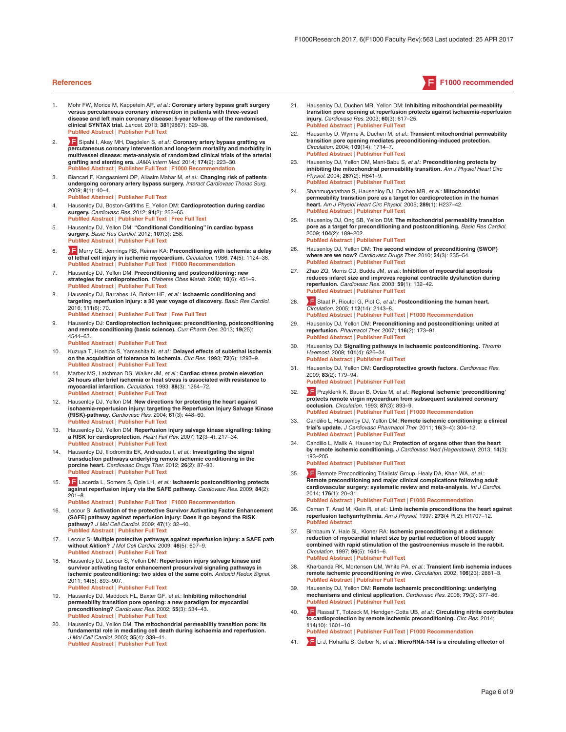#### <span id="page-5-0"></span>**References F1000 recommended**

- 1. Mohr FW, Morice M, Kappetein AP, *et al.*: **Coronary artery bypass graft surgery**  versus percutaneous coronary intervention in patients with three **disease and left main coronary disease: 5-year follow-up of the randomised, clinical SYNTAX trial.** *Lancet.* 2013; **381**(9867): 629–38. **[PubMed Abstract](http://www.ncbi.nlm.nih.gov/pubmed/23439102)** | **[Publisher Full Text](http://dx.doi.org/10.1016/S0140-6736(13)60141-5)**
- 2. [S](https://f1000.com/prime/726280225)ipahi I, Akay MH, Dagdelen S, *et al.*: **Coronary artery bypass grafting vs percutaneous coronary intervention and long-term mortality and morbidity in multivessel disease: meta-analysis of randomized clinical trials of the arterial grafting and stenting era.** *JAMA Intern Med.* 2014; **174**(2): 223–30. **[PubMed Abstract](http://www.ncbi.nlm.nih.gov/pubmed/24296767)** | **[Publisher Full Text](http://dx.doi.org/10.1001/jamainternmed.2013.12844)** | **[F1000 Recommendation](https://f1000.com/prime/726280225)**
- 3. Biancari F, Kangasniemi OP, Aliasim Mahar M, *et al.*: **Changing risk of patients undergoing coronary artery bypass surgery.** *Interact Cardiovasc Thorac Surg.* 2009; **8**(1): 40–4. **[PubMed Abstract](http://www.ncbi.nlm.nih.gov/pubmed/18495698)** | **[Publisher Full Text](http://dx.doi.org/10.1510/icvts.2007.173922)**
- 4. Hausenloy DJ, Boston-Griffiths E, Yellon DM: **Cardioprotection during cardiac surgery.** *Cardiovasc Res.* 2012; **94**(2): 253–65. **[PubMed Abstract](http://www.ncbi.nlm.nih.gov/pubmed/22440888)** | **[Publisher Full Text](http://dx.doi.org/10.1093/cvr/cvs131)** | **[Free Full Text](http://www.ncbi.nlm.nih.gov/pmc/articles/3331616)**
- 5. Hausenloy DJ, Yellon DM: **"Conditional Conditioning" in cardiac bypass surgery.** *Basic Res Cardiol.* 2012; **107**(3): 258. **[PubMed Abstract](http://www.ncbi.nlm.nih.gov/pubmed/22426794)** | **[Publisher Full Text](http://dx.doi.org/10.1007/s00395-012-0258-4)**
- 6. [M](https://f1000.com/prime/717978041)urry CE, Jennings RB, Reimer KA: **Preconditioning with ischemia: a delay of lethal cell injury in ischemic myocardium.** *Circulation.* 1986; **74**(5): 1124–36. **[PubMed Abstract](http://www.ncbi.nlm.nih.gov/pubmed/3769170)** | **[Publisher Full Text](http://dx.doi.org/10.1161/01.CIR.74.5.1124)** | **[F1000 Recommendation](https://f1000.com/prime/717978041)**
- 7. Hausenloy DJ, Yellon DM: **Preconditioning and postconditioning: new strategies for cardioprotection.** *Diabetes Obes Metab.* 2008; **10**(6): 451–9. **[PubMed Abstract](http://www.ncbi.nlm.nih.gov/pubmed/17825079)** | **[Publisher Full Text](http://dx.doi.org/10.1111/j.1463-1326.2007.00762.x)**
- 8. Hausenloy DJ, Barrabes JA, Botker HE, *et al.*: **Ischaemic conditioning and targeting reperfusion injury: a 30 year voyage of discovery.** *Basic Res Cardiol.* 2016; **111**(6): 70. **[PubMed Abstract](http://www.ncbi.nlm.nih.gov/pubmed/27766474)** | **[Publisher Full Text](http://dx.doi.org/10.1007/s00395-016-0588-8)** | **[Free Full Text](http://www.ncbi.nlm.nih.gov/pmc/articles/5073120)**
- 9. Hausenloy DJ: **Cardioprotection techniques: preconditioning, postconditioning and remote conditioning (basic science).** *Curr Pharm Des.* 2013; **19**(25): 4544–63.
	- **[PubMed Abstract](http://www.ncbi.nlm.nih.gov/pubmed/23270554)** | **[Publisher Full Text](http://dx.doi.org/10.2174/1381612811319250004)**
- 10. Kuzuya T, Hoshida S, Yamashita N, *et al.*: **Delayed effects of sublethal ischemia on the acquisition of tolerance to ischemia.** *Circ Res.* 1993; **72**(6): 1293–9. **[PubMed Abstract](http://www.ncbi.nlm.nih.gov/pubmed/8495557)** | **[Publisher Full Text](http://dx.doi.org/10.1161/01.RES.72.6.1293)**
- 11. Marber MS, Latchman DS, Walker JM, *et al.*: **Cardiac stress protein elevation 24 hours after brief ischemia or heat stress is associated with resistance to myocardial infarction.** *Circulation.* 1993; **88**(3): 1264–72. **[PubMed Abstract](http://www.ncbi.nlm.nih.gov/pubmed/8353888)** | **[Publisher Full Text](http://dx.doi.org/10.1161/01.CIR.88.3.1264)**
- 12. Hausenloy DJ, Yellon DM: **New directions for protecting the heart against ischaemia-reperfusion injury: targeting the Reperfusion Injury Salvage Kinase (RISK)-pathway.** *Cardiovasc Res.* 2004; **61**(3): 448–60. **[PubMed Abstract](http://www.ncbi.nlm.nih.gov/pubmed/14962476)** | **[Publisher Full Text](http://dx.doi.org/10.1016/j.cardiores.2003.09.024)**
- 13. Hausenloy DJ, Yellon DM: **Reperfusion injury salvage kinase signalling: taking a RISK for cardioprotection.** *Heart Fail Rev.* 2007; **12**(3–4): 217–34. **[PubMed Abstract](http://www.ncbi.nlm.nih.gov/pubmed/17541822)** | **[Publisher Full Text](http://dx.doi.org/10.1007/s10741-007-9026-1)**
- 14. Hausenloy DJ, Iliodromitis EK, Andreadou I, *et al.*: **Investigating the signal transduction pathways underlying remote ischemic conditioning in the porcine heart.** *Cardiovasc Drugs Ther.* 2012; **26**(2): 87–93. **[PubMed Abstract](http://www.ncbi.nlm.nih.gov/pubmed/22207395)** | **[Publisher Full Text](http://dx.doi.org/10.1007/s10557-011-6364-y)**
- 15. [L](https://f1000.com/prime/1165858)acerda L, Somers S, Opie LH, *et al.*: **Ischaemic postconditioning protects against reperfusion injury via the SAFE pathway.** *Cardiovasc Res.* 2009; **84**(2):  $201 - 8$ .
	- **[PubMed Abstract](http://www.ncbi.nlm.nih.gov/pubmed/19666677)** | **[Publisher Full Text](http://dx.doi.org/10.1093/cvr/cvp274)** | **[F1000 Recommendation](https://f1000.com/prime/1165858)**
- 16. Lecour S: **Activation of the protective Survivor Activating Factor Enhancement (SAFE) pathway against reperfusion injury: Does it go beyond the RISK pathway?** *J Mol Cell Cardiol.* 2009; **47**(1): 32–40. **[PubMed Abstract](http://www.ncbi.nlm.nih.gov/pubmed/19344728)** | **[Publisher Full Text](http://dx.doi.org/10.1016/j.yjmcc.2009.03.019)**
- 17. Lecour S: **Multiple protective pathways against reperfusion injury: a SAFE path without Aktion?** *J Mol Cell Cardiol.* 2009; **46**(5): 607–9. **[PubMed Abstract](http://www.ncbi.nlm.nih.gov/pubmed/19318238)** | **[Publisher Full Text](http://dx.doi.org/10.1016/j.yjmcc.2009.01.003)**
- Hausenloy DJ, Lecour S, Yellon DM: Reperfusion injury salvage kinase and **survivor activating factor enhancement prosurvival signaling pathways in ischemic postconditioning: two sides of the same coin.** *Antioxid Redox Signal.* 2011; **14**(5): 893–907. **[PubMed Abstract](http://www.ncbi.nlm.nih.gov/pubmed/20615076)** | **[Publisher Full Text](http://dx.doi.org/10.1089/ars.2010.3360)**
- 19. Hausenloy DJ, Maddock HL, Baxter GF, *et al.*: **Inhibiting mitochondrial permeability transition pore opening: a new paradigm for myocardial preconditioning?** *Cardiovasc Res.* 2002; **55**(3): 534–43. **[PubMed Abstract](http://www.ncbi.nlm.nih.gov/pubmed/12160950)** | **[Publisher Full Text](http://dx.doi.org/10.1016/S0008-6363(02)00455-8)**
- 20. Hausenloy DJ, Yellon DM: **The mitochondrial permeability transition pore: its fundamental role in mediating cell death during ischaemia and reperfusion.** *J Mol Cell Cardiol.* 2003; **35**(4): 339–41. **[PubMed Abstract](http://www.ncbi.nlm.nih.gov/pubmed/12689812)** | **[Publisher Full Text](http://dx.doi.org/10.1016/S0022-2828(03)00043-9)**
- 21. Hausenloy DJ, Duchen MR, Yellon DM: **Inhibiting mitochondrial permeability transition pore opening at reperfusion protects against ischaemia-reperfusion injury.** *Cardiovasc Res.* 2003; **60**(3): 617–25. **[PubMed Abstract](http://www.ncbi.nlm.nih.gov/pubmed/14659807)** | **[Publisher Full Text](http://dx.doi.org/10.1016/j.cardiores.2003.09.025)**
- Hausenloy D, Wynne A, Duchen M, et al.: Transient mitochondrial permeability **transition pore opening mediates preconditioning-induced protection.** *Circulation.* 2004; **109**(14): 1714–7. **[PubMed Abstract](http://www.ncbi.nlm.nih.gov/pubmed/15066952)** | **[Publisher Full Text](http://dx.doi.org/10.1161/01.CIR.0000126294.81407.7D)**
- 23. Hausenloy DJ, Yellon DM, Mani-Babu S, *et al.*: **Preconditioning protects by inhibiting the mitochondrial permeability transition.** *Am J Physiol Heart Circ Physiol.* 2004; **287**(2): H841–9. **[PubMed Abstract](http://www.ncbi.nlm.nih.gov/pubmed/15072953)** | **[Publisher Full Text](http://dx.doi.org/10.1152/ajpheart.00678.2003)**
- 24. Shanmuganathan S, Hausenloy DJ, Duchen MR, *et al.*: **Mitochondrial permeability transition pore as a target for cardioprotection in the human heart.** *Am J Physiol Heart Circ Physiol.* 2005; **289**(1): H237–42. **[PubMed Abstract](http://www.ncbi.nlm.nih.gov/pubmed/15961375)** | **[Publisher Full Text](http://dx.doi.org/10.1152/ajpheart.01192.2004)**
- 25. Hausenloy DJ, Ong SB, Yellon DM: **The mitochondrial permeability transition pore as a target for preconditioning and postconditioning.** *Basic Res Cardiol.* 2009; **104**(2): 189–202. **[PubMed Abstract](http://www.ncbi.nlm.nih.gov/pubmed/19242644)** | **[Publisher Full Text](http://dx.doi.org/10.1007/s00395-009-0010-x)**
- 26. Hausenloy DJ, Yellon DM: **The second window of preconditioning (SWOP) where are we now?** *Cardiovasc Drugs Ther.* 2010; **24**(3): 235–54. **[PubMed Abstract](http://www.ncbi.nlm.nih.gov/pubmed/20496105)** | **[Publisher Full Text](http://dx.doi.org/10.1007/s10557-010-6237-9)**
- Zhao ZQ, Morris CD, Budde JM, et al.: Inhibition of myocardial apoptosis **reduces infarct size and improves regional contractile dysfunction during reperfusion.** *Cardiovasc Res.* 2003; **59**(1): 132–42. **[PubMed Abstract](http://www.ncbi.nlm.nih.gov/pubmed/12829184)** | **[Publisher Full Text](http://dx.doi.org/10.1016/S0008-6363(03)00344-4)**
- 28. **F** [S](https://f1000.com/prime/6003)taat P, Rioufol G, Piot C, *et al.*: **Postconditioning the human heart.** *Circulation.* 2005; **112**(14): 2143–8. **[PubMed Abstract](http://www.ncbi.nlm.nih.gov/pubmed/16186417)** | **[Publisher Full Text](http://dx.doi.org/10.1161/CIRCULATIONAHA.105.558122)** | **[F1000 Recommendation](https://f1000.com/prime/6003)**
- 29. Hausenloy DJ, Yellon DM: **Preconditioning and postconditioning: united at reperfusion.** *Pharmacol Ther.* 2007; **116**(2): 173–91. **[PubMed Abstract](http://www.ncbi.nlm.nih.gov/pubmed/17681609)** | **[Publisher Full Text](http://dx.doi.org/10.1016/j.pharmthera.2007.06.005)**
- 30. Hausenloy DJ: **Signalling pathways in ischaemic postconditioning.** *Thromb Haemost.* 2009; **101**(4): 626–34. **[PubMed Abstract](http://www.ncbi.nlm.nih.gov/pubmed/19350104)** | **[Publisher Full Text](http://dx.doi.org/10.1160/TH08-11-0734)**
- 31. Hausenloy DJ, Yellon DM: **Cardioprotective growth factors.** *Cardiovasc Res.* 2009; **83**(2): 179–94. **[PubMed Abstract](http://www.ncbi.nlm.nih.gov/pubmed/19218286)** | **[Publisher Full Text](http://dx.doi.org/10.1093/cvr/cvp062)**
- 32. [P](https://f1000.com/prime/717978043)rzyklenk K, Bauer B, Ovize M, *et al.*: **Regional ischemic 'preconditioning' protects remote virgin myocardium from subsequent sustained coronary occlusion.** *Circulation.* 1993; **87**(3): 893–9. **[PubMed Abstract](http://www.ncbi.nlm.nih.gov/pubmed/7680290)** | **[Publisher Full Text](http://dx.doi.org/10.1161/01.CIR.87.3.893)** | **[F1000 Recommendation](https://f1000.com/prime/717978043)**
- 33. Candilio L, Hausenloy DJ, Yellon DM: **Remote ischemic conditioning: a clinical trial's update.** *J Cardiovasc Pharmacol Ther.* 2011; **16**(3–4): 304–12. **[PubMed Abstract](http://www.ncbi.nlm.nih.gov/pubmed/21821533)** | **[Publisher Full Text](http://dx.doi.org/10.1177/1074248411411711)**
- 34. Candilio L, Malik A, Hausenloy DJ: **Protection of organs other than the heart by remote ischemic conditioning.** *J Cardiovasc Med (Hagerstown).* 2013; **14**(3): 193–205. **[PubMed Abstract](http://www.ncbi.nlm.nih.gov/pubmed/23079610)** | **[Publisher Full Text](http://dx.doi.org/10.2459/JCM.0b013e328359dd7b)**

35. **F** [R](https://f1000.com/prime/718493012)emote Preconditioning Trialists' Group, Healy DA, Khan WA, et al.: **Remote preconditioning and major clinical complications following adult cardiovascular surgery: systematic review and meta-analysis.** *Int J Cardiol.* 2014; **176**(1): 20–31. **[PubMed Abstract](http://www.ncbi.nlm.nih.gov/pubmed/25022819)** | **[Publisher Full Text](http://dx.doi.org/10.1016/j.ijcard.2014.06.018)** | **[F1000 Recommendation](https://f1000.com/prime/718493012)**

- 36. Oxman T, Arad M, Klein R, *et al.*: **Limb ischemia preconditions the heart against reperfusion tachyarrhythmia.** *Am J Physiol.* 1997; **273**(4 Pt 2): H1707–12. **[PubMed Abstract](http://www.ncbi.nlm.nih.gov/pubmed/9362234)**
- 37. Birnbaum Y, Hale SL, Kloner RA: **Ischemic preconditioning at a distance: reduction of myocardial infarct size by partial reduction of blood supply combined with rapid stimulation of the gastrocnemius muscle in the rabbit.** *Circulation.* 1997; **96**(5): 1641–6. **[PubMed Abstract](http://www.ncbi.nlm.nih.gov/pubmed/9315559)** | **[Publisher Full Text](http://dx.doi.org/10.1161/01.CIR.96.5.1641)**
- 38. Kharbanda RK, Mortensen UM, White PA, *et al.*: **Transient limb ischemia induces remote ischemic preconditioning** *in vivo***.** *Circulation.* 2002; **106**(23): 2881–3. **[PubMed Abstract](http://www.ncbi.nlm.nih.gov/pubmed/12460865)** | **[Publisher Full Text](http://dx.doi.org/10.1161/01.CIR.0000043806.51912.9B)**
- 39. Hausenloy DJ, Yellon DM: **Remote ischaemic preconditioning: underlying mechanisms and clinical application.** *Cardiovasc Res.* 2008; **79**(3): 377–86. **[PubMed Abstract](http://www.ncbi.nlm.nih.gov/pubmed/18456674)** | **[Publisher Full Text](http://dx.doi.org/10.1093/cvr/cvn114)**
- 40. [R](https://f1000.com/prime/718314316)assaf T, Totzeck M, Hendgen-Cotta UB, *et al.*: **Circulating nitrite contributes to cardioprotection by remote ischemic preconditioning.** *Circ Res.* 2014; **114**(10): 1601–10. **[PubMed Abstract](http://www.ncbi.nlm.nih.gov/pubmed/24643960)** | **[Publisher Full Text](http://dx.doi.org/10.1161/CIRCRESAHA.114.303822)** | **[F1000 Recommendation](https://f1000.com/prime/718314316)**
- 41. **F** [L](https://f1000.com/prime/718506897)i J, Rohailla S, Gelber N, *et al.*: MicroRNA-144 is a circulating effector of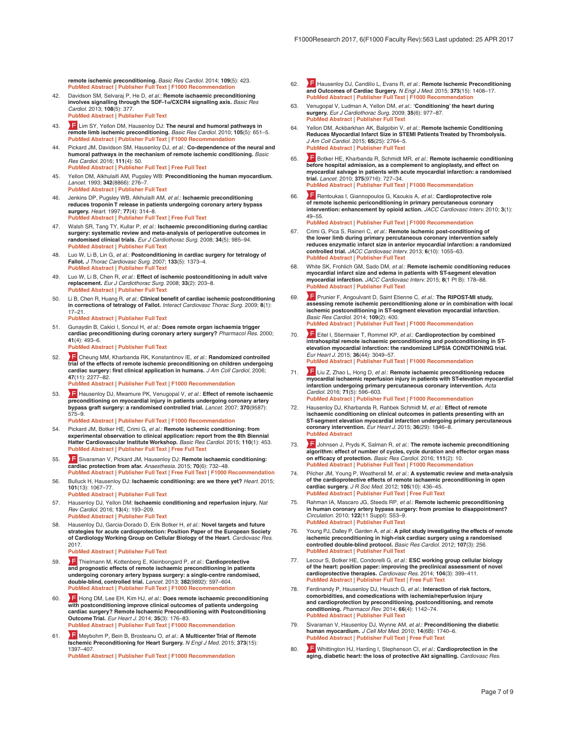<span id="page-6-0"></span>**remote ischemic preconditioning.** *Basic Res Cardiol.* 2014; **109**(5): 423. **[PubMed Abstract](http://www.ncbi.nlm.nih.gov/pubmed/25060662)** | **[Publisher Full Text](http://dx.doi.org/10.1007/s00395-014-0423-z)** | **[F1000 Recommendation](https://f1000.com/prime/718506897)**

- 42. Davidson SM, Selvaraj P, He D, *et al.*: **Remote ischaemic preconditioning involves signalling through the SDF-1α/CXCR4 signalling axis.** *Basic Res Cardiol.* 2013; **108**(5): 377. **[PubMed Abstract](http://www.ncbi.nlm.nih.gov/pubmed/23917520)** | **[Publisher Full Text](http://dx.doi.org/10.1007/s00395-013-0377-6)**
- 43. **TH** [L](https://f1000.com/prime/3707956)im SY, Yellon DM, Hausenloy DJ: **The neural and humoral pathways in**<br>**remote limb ischemic preconditioning.** Basic Res Cardiol. 2010; 105(5): 651–5.<br>[PubMed Abstract](http://www.ncbi.nlm.nih.gov/pubmed/20449597) | [Publisher Full Text](http://dx.doi.org/10.1007/s00395-010-0099-y) | [F1000 Recommendation](https://f1000.com/prime/3707956)
- 44. Pickard JM, Davidson SM, Hausenloy DJ, *et al.*: **Co-dependence of the neural and humoral pathways in the mechanism of remote ischemic conditioning.** *Basic Res Cardiol.* 2016; **111**(4): 50. **[PubMed Abstract](http://www.ncbi.nlm.nih.gov/pubmed/27338249)** | **[Publisher Full Text](http://dx.doi.org/10.1007/s00395-016-0568-z)** | **[Free Full Text](http://www.ncbi.nlm.nih.gov/pmc/articles/4919370)**
- 45. Yellon DM, Alkhulaifi AM, Pugsley WB: **Preconditioning the human myocardium.** *Lancet.* 1993; **342**(8866): 276–7. **[PubMed Abstract](http://www.ncbi.nlm.nih.gov/pubmed/8101304)** | **[Publisher Full Text](http://dx.doi.org/10.1016/0140-6736(93)91819-8)**
- 46. Jenkins DP, Pugsley WB, Alkhulaifi AM, *et al.*: **Ischaemic preconditioning reduces troponin T release in patients undergoing coronary artery bypass surgery.** *Heart.* 1997; **77**(4): 314–8. **[PubMed Abstract](http://www.ncbi.nlm.nih.gov/pubmed/9155608)** | **[Publisher Full Text](http://dx.doi.org/10.1136/hrt.77.4.314)** | **[Free Full Text](http://www.ncbi.nlm.nih.gov/pmc/articles/484723)**
- 47. Walsh SR, Tang TY, Kullar P, *et al.*: **Ischaemic preconditioning during cardiac surgery: systematic review and meta-analysis of perioperative outcomes in randomised clinical trials.** *Eur J Cardiothorac Surg.* 2008; **34**(5): 985–94. **[PubMed Abstract](http://www.ncbi.nlm.nih.gov/pubmed/18783958)** | **[Publisher Full Text](http://dx.doi.org/10.1016/j.ejcts.2008.07.062)**
- 48. Luo W, Li B, Lin G, *et al.*: **Postconditioning in cardiac surgery for tetralogy of Fallot.** *J Thorac Cardiovasc Surg.* 2007; **133**(5): 1373–4. **[PubMed Abstract](http://www.ncbi.nlm.nih.gov/pubmed/17467465)** | **[Publisher Full Text](http://dx.doi.org/10.1016/j.jtcvs.2007.01.028)**
- 49. Luo W, Li B, Chen R, *et al.*: **Effect of ischemic postconditioning in adult valve replacement.** *Eur J Cardiothorac Surg.* 2008; **33**(2): 203–8. **[PubMed Abstract](http://www.ncbi.nlm.nih.gov/pubmed/18078762)** | **[Publisher Full Text](http://dx.doi.org/10.1016/j.ejcts.2007.11.010)**
- 50. Li B, Chen R, Huang R, *et al.*: **Clinical benefit of cardiac ischemic postconditioning in corrections of tetralogy of Fallot.** *Interact Cardiovasc Thorac Surg.* 2009; **8**(1): 17–21.
- **[PubMed Abstract](http://www.ncbi.nlm.nih.gov/pubmed/18854339)** | **[Publisher Full Text](http://dx.doi.org/10.1510/icvts.2008.189373)**
- 51. Gunaydin B, Cakici I, Soncul H, *et al.*: **Does remote organ ischaemia trigger cardiac preconditioning during coronary artery surgery?** *Pharmacol Res.* 2000; **41**(4): 493–6. **[PubMed Abstract](http://www.ncbi.nlm.nih.gov/pubmed/10704275)** | **[Publisher Full Text](http://dx.doi.org/10.1006/phrs.1999.0611)**
- 52. [C](https://f1000.com/prime/1040248)heung MM, Kharbanda RK, Konstantinov IE, *et al.*: **Randomized controlled trial of the effects of remote ischemic preconditioning on children undergoing cardiac surgery: first clinical application in humans.** *J Am Coll Cardiol.* 2006;

**47**(11): 2277–82. **[PubMed Abstract](http://www.ncbi.nlm.nih.gov/pubmed/16750696)** | **[Publisher Full Text](http://dx.doi.org/10.1016/j.jacc.2006.01.066)** | **[F1000 Recommendation](https://f1000.com/prime/1040248)**

- 53. [H](https://f1000.com/prime/1089428)ausenloy DJ, Mwamure PK, Venugopal V, *et al.*: **Effect of remote ischaemic preconditioning on myocardial injury in patients undergoing coronary artery bypass graft surgery: a randomised controlled trial.** *Lancet.* 2007; **370**(9587): 575–9.
	- **[PubMed Abstract](http://www.ncbi.nlm.nih.gov/pubmed/17707752)** | **[Publisher Full Text](http://dx.doi.org/10.1016/S0140-6736(07)61296-3)** | **[F1000 Recommendation](https://f1000.com/prime/1089428)**
- 54. Pickard JM, Botker HE, Crimi G, *et al.*: **Remote ischemic conditioning: from experimental observation to clinical application: report from the 8th Biennial Hatter Cardiovascular Institute Workshop.** *Basic Res Cardiol.* 2015; **110**(1): 453. **[PubMed Abstract](http://www.ncbi.nlm.nih.gov/pubmed/25449895)** | **[Publisher Full Text](http://dx.doi.org/10.1007/s00395-014-0453-6)** | **[Free Full Text](http://www.ncbi.nlm.nih.gov/pmc/articles/4250562)**
- 55. [S](https://f1000.com/prime/725503193)ivaraman V, Pickard JM, Hausenloy DJ: **Remote ischaemic conditioning: cardiac protection from afar.** *Anaesthesia.* 2015; **70**(6): 732–48. **[PubMed Abstract](http://www.ncbi.nlm.nih.gov/pubmed/25961420)** | **[Publisher Full Text](http://dx.doi.org/10.1111/anae.12973)** | **[Free Full Text](http://www.ncbi.nlm.nih.gov/pmc/articles/4737100)** | **[F1000 Recommendation](https://f1000.com/prime/725503193)**
- 56. Bulluck H, Hausenloy DJ: **Ischaemic conditioning: are we there yet?** *Heart.* 2015; **101**(13): 1067–77.
	- **[PubMed Abstract](http://www.ncbi.nlm.nih.gov/pubmed/25887783)** | **[Publisher Full Text](http://dx.doi.org/10.1136/heartjnl-2014-306531)**
- 57. Hausenloy DJ, Yellon DM: **Ischaemic conditioning and reperfusion injury.** *Nat Rev Cardiol.* 2016; **13**(4): 193–209. **[PubMed Abstract](http://www.ncbi.nlm.nih.gov/pubmed/26843289)** | **[Publisher Full Text](http://dx.doi.org/10.1038/nrcardio.2016.5)**
- 58. Hausenloy DJ, Garcia-Dorado D, Erik Botker H, *et al.*: **Novel targets and future strategies for acute cardioprotection: Position Paper of the European Society of Cardiology Working Group on Cellular Biology of the Heart.** *Cardiovasc Res.* 2017.
	- **[PubMed Abstract](http://www.ncbi.nlm.nih.gov/pubmed/28340182)** | **[Publisher Full Text](http://dx.doi.org/10.1093/cvr/cvx049)**
- 59. [T](https://f1000.com/prime/718077694)hielmann M, Kottenberg E, Kleinbongard P, *et al.*: **Cardioprotective and prognostic effects of remote ischaemic preconditioning in patients undergoing coronary artery bypass surgery: a single-centre randomised, double-blind, controlled trial.** *Lancet.* 2013; **382**(9892): 597–604. **[PubMed Abstract](http://www.ncbi.nlm.nih.gov/pubmed/23953384)** | **[Publisher Full Text](http://dx.doi.org/10.1016/S0140-6736(13)61450-6)** | **[F1000 Recommendation](https://f1000.com/prime/718077694)**
- 60. [H](https://f1000.com/prime/718102272)ong DM, Lee EH, Kim HJ, *et al.*: **Does remote ischaemic preconditioning**  with postconditioning improve clinical outcomes of patients undergoing cardiac surgery? Remote Ischaemic Preconditioning with Postconditioning<br>Outcome Trial. *Eur Heart J.* 2014; 35(3): 176–83.<br><mark>[PubMed Abstract](http://www.ncbi.nlm.nih.gov/pubmed/24014392) | [Publisher Full Text](http://dx.doi.org/10.1093/eurheartj/eht346) | [F1000 Recommendation](https://f1000.com/prime/718102272)</mark>
- 61. [M](https://f1000.com/prime/725826525)eybohm P, Bein B, Brosteanu O, *et al.*: **A Multicenter Trial of Remote Ischemic Preconditioning for Heart Surgery.** *N Engl J Med.* 2015; **373**(15): 1397–407.

**[PubMed Abstract](http://www.ncbi.nlm.nih.gov/pubmed/26436208)** | **[Publisher Full Text](http://dx.doi.org/10.1056/NEJMoa1413579)** | **[F1000 Recommendation](https://f1000.com/prime/725826525)**

- 62. [H](https://f1000.com/prime/725828582)ausenloy DJ, Candilio L, Evans R, *et al.*: **Remote Ischemic Preconditioning and Outcomes of Cardiac Surgery.** *N Engl J Med.* 2015; **373**(15): 1408–17. **[PubMed Abstract](http://www.ncbi.nlm.nih.gov/pubmed/26436207)** | **[Publisher Full Text](http://dx.doi.org/10.1056/NEJMoa1413534)** | **[F1000 Recommendation](https://f1000.com/prime/725828582)**
- 63. Venugopal V, Ludman A, Yellon DM, *et al.*: **'Conditioning' the heart during surgery.** *Eur J Cardiothorac Surg.* 2009; **35**(6): 977–87. **[PubMed Abstract](http://www.ncbi.nlm.nih.gov/pubmed/19324569)** | **[Publisher Full Text](http://dx.doi.org/10.1016/j.ejcts.2009.02.014)**
- 64. Yellon DM, Ackbarkhan AK, Balgobin V, *et al.*: **Remote Ischemic Conditioning Reduces Myocardial Infarct Size in STEMI Patients Treated by Thrombolysis.** *J Am Coll Cardiol.* 2015; **65**(25): 2764–5. **[PubMed Abstract](http://www.ncbi.nlm.nih.gov/pubmed/26112203)** | **[Publisher Full Text](http://dx.doi.org/10.1016/j.jacc.2015.02.082)**
- 65. [B](https://f1000.com/prime/2530956)otker HE, Kharbanda R, Schmidt MR, *et al.*: **Remote ischaemic conditioning**  before hospital admission, as a complement to angioplasty, and effect on<br>myocardial salvage in patients with acute myocardial infarction: a randomised<br>trial. *Lancet.* 2010; 375(9716): 727–34. **[PubMed Abstract](http://www.ncbi.nlm.nih.gov/pubmed/20189026) | [Publisher Full Text](http://dx.doi.org/10.1016/S0140-6736(09)62001-8) | F1000 Recom**
- 66. [R](https://f1000.com/prime/2521958)entoukas I, Giannopoulos G, Kaoukis A, *et al.*: **Cardioprotective role of remote ischemic periconditioning in primary percutaneous coronary intervention: enhancement by opioid action.** *JACC Cardiovasc Interv.* 2010; **3**(1): 49–55. **[PubMed Abstract](http://www.ncbi.nlm.nih.gov/pubmed/20129568)** | **[Publisher Full Text](http://dx.doi.org/10.1016/j.jcin.2009.10.015)** | **[F1000 Recommendation](https://f1000.com/prime/2521958)**
- 67. Crimi G, Pica S, Raineri C, *et al.*: **Remote ischemic post-conditioning of the lower limb during primary percutaneous coronary intervention safely reduces enzymatic infarct size in anterior myocardial infarction: a randomized controlled trial.** *JACC Cardiovasc Interv.* 2013; **6**(10): 1055–63. **[PubMed Abstract](http://www.ncbi.nlm.nih.gov/pubmed/24156966)** | **[Publisher Full Text](http://dx.doi.org/10.1016/j.jcin.2013.05.011)**
- 68. White SK, Frohlich GM, Sado DM, *et al.*: **Remote ischemic conditioning reduces myocardial infarct size and edema in patients with ST-segment elevation myocardial infarction.** *JACC Cardiovasc Interv.* 2015; **8**(1 Pt B): 178–88. **[PubMed Abstract](http://www.ncbi.nlm.nih.gov/pubmed/25240548)** | **[Publisher Full Text](http://dx.doi.org/10.1016/j.jcin.2014.05.015)**
- 69. **The [P](https://f1000.com/prime/718234066)runier F, Angoulvant D, Saint Etienne C,** *et al***.: The RIPOST-MI study,<br>assessing remote ischemic perconditioning alone or in combination with local<br>ischemic postconditioning in ST-segment elevation myocardial in** *Basic Res Cardiol.* 2014; **109**(2): 400. **[PubMed Abstract](http://www.ncbi.nlm.nih.gov/pubmed/24407359)** | **[Publisher Full Text](http://dx.doi.org/10.1007/s00395-013-0400-y)** | **[F1000 Recommendation](https://f1000.com/prime/718234066)**
- 70. [E](https://f1000.com/prime/725799296)itel I, Stiermaier T, Rommel KP, *et al.*: **Cardioprotection by combined intrahospital remote ischaemic perconditioning and postconditioning in STelevation myocardial infarction: the randomized LIPSIA CONDITIONING trial.** *Eur Heart J.* 2015; **36**(44): 3049–57. **[PubMed Abstract](http://www.ncbi.nlm.nih.gov/pubmed/26385956)** | **[Publisher Full Text](http://dx.doi.org/10.1093/eurheartj/ehv463)** | **[F1000 Recommendation](https://f1000.com/prime/725799296)**
- 71. **Liu Z, Zhao [L](https://f1000.com/prime/726820499), Hong D,** *et al.***: Remote ischaemic preconditioning reduces myocardial ischaemic reperfusion injury in patients with ST-elevation myocardial infarction undergoing primary percutaneous coronary intervention.** *Acta Cardiol.* 2016; **71**(5): 596–603. **[PubMed Abstract](http://www.ncbi.nlm.nih.gov/pubmed/27695018)** | **[Publisher Full Text](http://dx.doi.org/10.2143/AC.71.5.3167504)** | **[F1000 Recommendation](https://f1000.com/prime/726820499)**
- Hausenloy DJ, Kharbanda R, Rahbek Schmidt M, et al.: Effect of remote **ischaemic conditioning on clinical outcomes in patients presenting with an ST-segment elevation myocardial infarction undergoing primary percutaneous coronary intervention.** *Eur Heart J.* 2015; **36**(29): 1846–8. **[PubMed Abstract](http://www.ncbi.nlm.nih.gov/pubmed/26460398)**
- 73. [J](https://f1000.com/prime/726079560)ohnsen J, Pryds K, Salman R, *et al.*: **The remote ischemic preconditioning algorithm: effect of number of cycles, cycle duration and effector organ mass on efficacy of protection.** *Basic Res Cardiol.* 2016; **111**(2): 10. **[PubMed Abstract](http://www.ncbi.nlm.nih.gov/pubmed/26768477)** | **[Publisher Full Text](http://dx.doi.org/10.1007/s00395-016-0529-6)** | **[F1000 Recommendation](https://f1000.com/prime/726079560)**
- 74. Pilcher JM, Young P, Weatherall M, *et al.*: **A systematic review and meta-analysis of the cardioprotective effects of remote ischaemic preconditioning in open cardiac surgery.** *J R Soc Med.* 2012; **105**(10): 436–45. **[PubMed Abstract](http://www.ncbi.nlm.nih.gov/pubmed/23104947)** | **[Publisher Full Text](http://dx.doi.org/10.1258/jrsm.2012.120049)** | **[Free Full Text](http://www.ncbi.nlm.nih.gov/pmc/articles/3480853)**
- 75. Rahman IA, Mascaro JG, Steeds RP, *et al.*: **Remote ischemic preconditioning in human coronary artery bypass surgery: from promise to disappointment?** *Circulation.* 2010; **122**(11 Suppl): S53–9. **[PubMed Abstract](http://www.ncbi.nlm.nih.gov/pubmed/20837926)** | **[Publisher Full Text](http://dx.doi.org/10.1161/CIRCULATIONAHA.109.926667)**
- 76. Young PJ, Dalley P, Garden A, *et al.*: A pilot study investigating the effects of remote<br>ischemic preconditioning in high-risk cardiac surgery using a randomised<br>controlled double-blind protocol. *Basic Res Cardiol*. **[PubMed Abstract](http://www.ncbi.nlm.nih.gov/pubmed/22406977)** | **[Publisher Full Text](http://dx.doi.org/10.1007/s00395-012-0256-6)**
- 77. Lecour S, Botker HE, Condorelli G, *et al.*: **ESC working group cellular biology of the heart: position paper: improving the preclinical assessment of novel cardioprotective therapies.** *Cardiovasc Res.* 2014; **104**(3): 399–411. **[PubMed Abstract](http://www.ncbi.nlm.nih.gov/pubmed/25344369)** | **[Publisher Full Text](http://dx.doi.org/10.1093/cvr/cvu225)** | **[Free Full Text](http://www.ncbi.nlm.nih.gov/pmc/articles/4242141)**
- 78. Ferdinandy P, Hausenloy DJ, Heusch G, *et al.*: **Interaction of risk factors, comorbidities, and comedications with ischemia/reperfusion injury and cardioprotection by preconditioning, postconditioning, and remote conditioning.** *Pharmacol Rev.* 2014; **66**(4): 1142–74. **[PubMed Abstract](http://www.ncbi.nlm.nih.gov/pubmed/25261534)** | **[Publisher Full Text](http://dx.doi.org/10.1124/pr.113.008300)**
- 79. Sivaraman V, Hausenloy DJ, Wynne AM, *et al.*: **Preconditioning the diabetic human myocardium.** *J Cell Mol Med.* 2010; **14**(6B): 1740–6. **[PubMed Abstract](http://www.ncbi.nlm.nih.gov/pubmed/19508386)** | **[Publisher Full Text](http://dx.doi.org/10.1111/j.1582-4934.2009.00796.x)** | **[Free Full Text](http://www.ncbi.nlm.nih.gov/pmc/articles/3829035)**
- 80. [W](https://f1000.com/prime/718015015)hittington HJ, Harding I, Stephenson CI, *et al.*: **Cardioprotection in the aging, diabetic heart: the loss of protective Akt signalling.** *Cardiovasc Res.*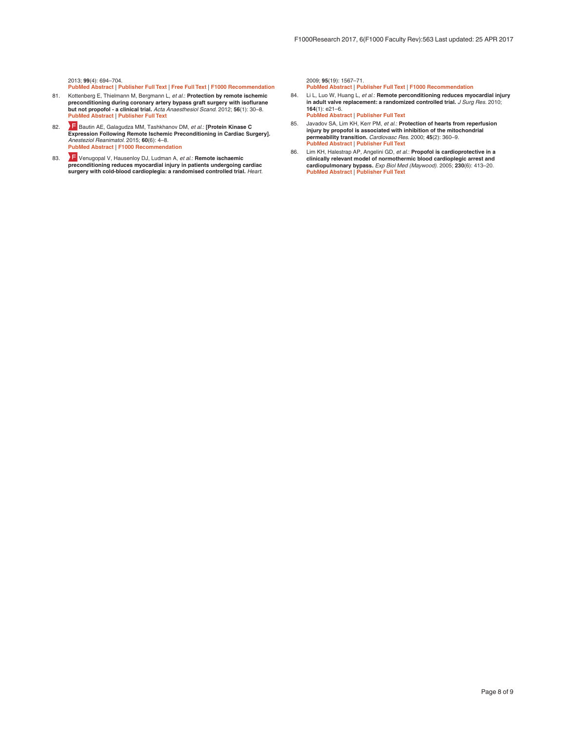<span id="page-7-0"></span>2013; **99**(4): 694–704.

**[PubMed Abstract](http://www.ncbi.nlm.nih.gov/pubmed/23723063)** | **[Publisher Full Text](http://dx.doi.org/10.1093/cvr/cvt140)** | **[Free Full Text](http://www.ncbi.nlm.nih.gov/pmc/articles/3746954)** | **[F1000 Recommendation](https://f1000.com/prime/718015015)**

- 81. Kottenberg E, Thielmann M, Bergmann L, *et al.*: **Protection by remote ischemic preconditioning during coronary artery bypass graft surgery with isoflurane but not propofol - a clinical trial.** *Acta Anaesthesiol Scand.* 2012; **56**(1): 30–8. **[PubMed Abstract](http://www.ncbi.nlm.nih.gov/pubmed/22103808)** | **[Publisher Full Text](http://dx.doi.org/10.1111/j.1399-6576.2011.02585.x)**
- 82. **F** [B](https://f1000.com/prime/726255606)autin AE, Galagudza MM, Tashkhanov DM, *et al.*: **[Protein Kinase C Expression Following Remote Ischemic Preconditioning in Cardiac Surgery].** *Anesteziol Reanimatol.* 2015; **60**(6): 4–8. **[PubMed Abstract](http://www.ncbi.nlm.nih.gov/pubmed/27025124)** | **[F1000 Recommendation](https://f1000.com/prime/726255606)**
- 83. [V](https://f1000.com/prime/1166052)enugopal V, Hausenloy DJ, Ludman A, *et al.*: **Remote ischaemic preconditioning reduces myocardial injury in patients undergoing cardiac surgery with cold-blood cardioplegia: a randomised controlled trial.** *Heart.*

2009; **95**(19): 1567–71.

**[PubMed Abstract](http://www.ncbi.nlm.nih.gov/pubmed/19508973)** | **[Publisher Full Text](http://dx.doi.org/10.1136/hrt.2008.155770)** | **[F1000 Recommendation](https://f1000.com/prime/1166052)**

- 84. Li L, Luo W, Huang L, *et al.*: **Remote perconditioning reduces myocardial injury in adult valve replacement: a randomized controlled trial.** *J Surg Res.* 2010; **164**(1): e21–6. **[PubMed Abstract](http://www.ncbi.nlm.nih.gov/pubmed/20850778)** | **[Publisher Full Text](http://dx.doi.org/10.1016/j.jss.2010.06.016)**
- 85. Javadov SA, Lim KH, Kerr PM, *et al.*: **Protection of hearts from reperfusion injury by propofol is associated with inhibition of the mitochondrial permeability transition.** *Cardiovasc Res.* 2000; **45**(2): 360–9. **[PubMed Abstract](http://www.ncbi.nlm.nih.gov/pubmed/10728356)** | **[Publisher Full Text](http://dx.doi.org/10.1016/S0008-6363(99)00365-X)**
- 86. Lim KH, Halestrap AP, Angelini GD, *et al.*: **Propofol is cardioprotective in a clinically relevant model of normothermic blood cardioplegic arrest and cardiopulmonary bypass.** *Exp Biol Med (Maywood).* 2005; **230**(6): 413–20. **[PubMed Abstract](http://www.ncbi.nlm.nih.gov/pubmed/15956771)** | **[Publisher Full Text](http://dx.doi.org/10.1177/15353702-0323006-09)**